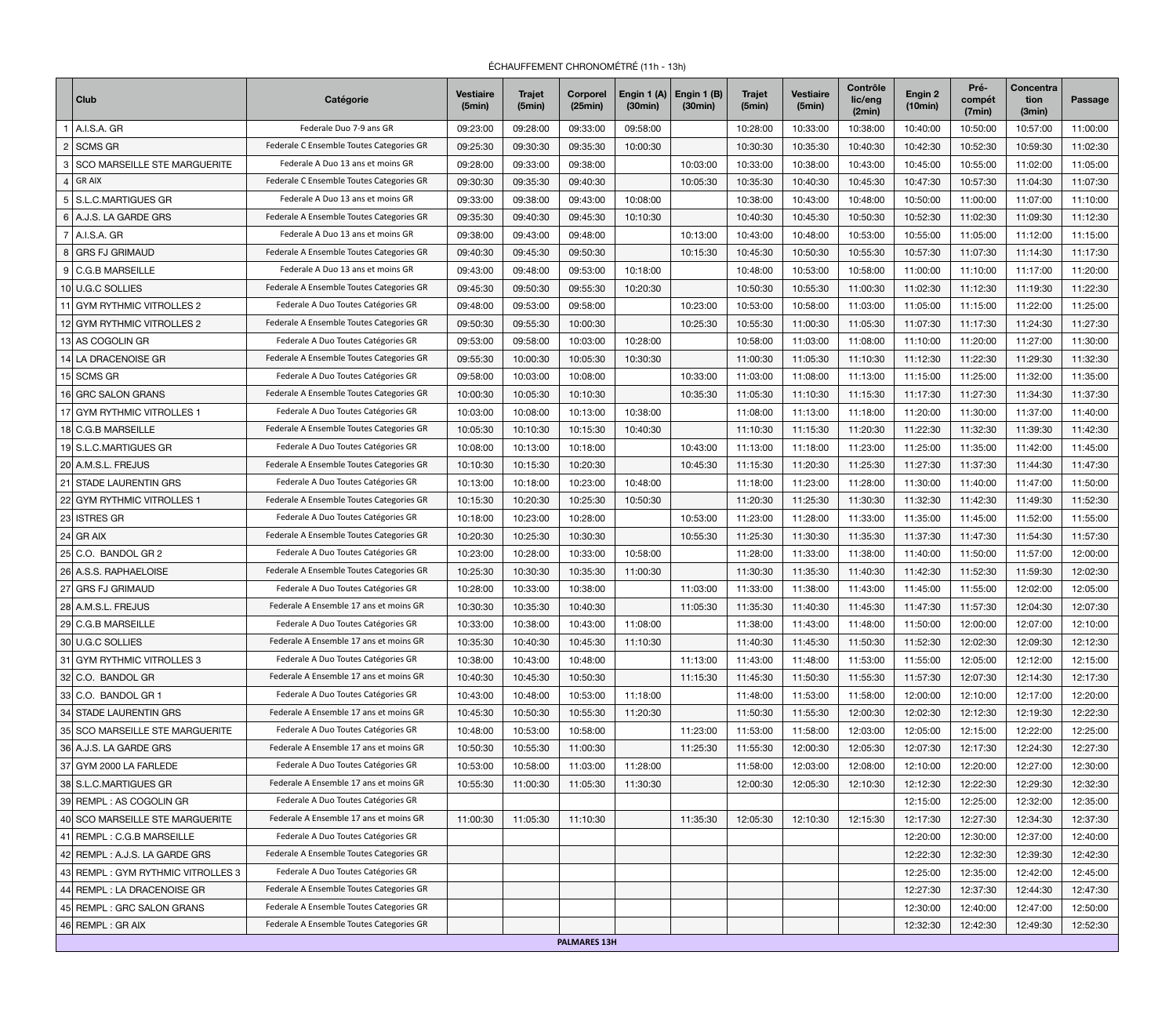## ÉCHAUFFEMENT CHRONOMÉTRÉ (11h - 13h)

|                | <b>Club</b>                         | Catégorie                                | <b>Vestiaire</b><br>(5min) | <b>Trajet</b><br>(5min) | <b>Corporel</b><br>(25min) | Engin 1 (A)<br>(30min) | Engin $1(B)$<br>(30min) | <b>Trajet</b><br>(5min) | <b>Vestiaire</b><br>(5min) | <b>Contrôle</b><br>lic/eng<br>(2min) | Engin 2<br>(10min) | Pré-<br>compét<br>(7min) | <b>Concentra</b><br>tion<br>(3min) | <b>Passage</b> |
|----------------|-------------------------------------|------------------------------------------|----------------------------|-------------------------|----------------------------|------------------------|-------------------------|-------------------------|----------------------------|--------------------------------------|--------------------|--------------------------|------------------------------------|----------------|
|                | A.I.S.A. GR                         | Federale Duo 7-9 ans GR                  | 09:23:00                   | 09:28:00                | 09:33:00                   | 09:58:00               |                         | 10:28:00                | 10:33:00                   | 10:38:00                             | 10:40:00           | 10:50:00                 | 10:57:00                           | 11:00:00       |
| $\overline{2}$ | SCMS GR                             | Federale C Ensemble Toutes Categories GR | 09:25:30                   | 09:30:30                | 09:35:30                   | 10:00:30               |                         | 10:30:30                | 10:35:30                   | 10:40:30                             | 10:42:30           | 10:52:30                 | 10:59:30                           | 11:02:30       |
|                | <b>SCO MARSEILLE STE MARGUERITE</b> | Federale A Duo 13 ans et moins GR        | 09:28:00                   | 09:33:00                | 09:38:00                   |                        | 10:03:00                | 10:33:00                | 10:38:00                   | 10:43:00                             | 10:45:00           | 10:55:00                 | 11:02:00                           | 11:05:00       |
|                | $ $ GR AIX                          | Federale C Ensemble Toutes Categories GR | 09:30:30                   | 09:35:30                | 09:40:30                   |                        | 10:05:30                | 10:35:30                | 10:40:30                   | 10:45:30                             | 10:47:30           | 10:57:30                 | 11:04:30                           | 11:07:30       |
|                | 5   S.L.C.MARTIGUES GR              | Federale A Duo 13 ans et moins GR        | 09:33:00                   | 09:38:00                | 09:43:00                   | 10:08:00               |                         | 10:38:00                | 10:43:00                   | 10:48:00                             | 10:50:00           | 11:00:00                 | 11:07:00                           | 11:10:00       |
|                | 6   A.J.S. LA GARDE GRS             | Federale A Ensemble Toutes Categories GR | 09:35:30                   | 09:40:30                | 09:45:30                   | 10:10:30               |                         | 10:40:30                | 10:45:30                   | 10:50:30                             | 10:52:30           | 11:02:30                 | 11:09:30                           | 11:12:30       |
|                | $7$ A.I.S.A. GR                     | Federale A Duo 13 ans et moins GR        | 09:38:00                   | 09:43:00                | 09:48:00                   |                        | 10:13:00                | 10:43:00                | 10:48:00                   | 10:53:00                             | 10:55:00           | 11:05:00                 | 11:12:00                           | 11:15:00       |
|                | 8 GRS FJ GRIMAUD                    | Federale A Ensemble Toutes Categories GR | 09:40:30                   | 09:45:30                | 09:50:30                   |                        | 10:15:30                | 10:45:30                | 10:50:30                   | 10:55:30                             | 10:57:30           | 11:07:30                 | 11:14:30                           | 11:17:30       |
|                | 9   C.G.B MARSEILLE                 | Federale A Duo 13 ans et moins GR        | 09:43:00                   | 09:48:00                | 09:53:00                   | 10:18:00               |                         | 10:48:00                | 10:53:00                   | 10:58:00                             | 11:00:00           | 11:10:00                 | 11:17:00                           | 11:20:00       |
|                | 10 U.G.C SOLLIES                    | Federale A Ensemble Toutes Categories GR | 09:45:30                   | 09:50:30                | 09:55:30                   | 10:20:30               |                         | 10:50:30                | 10:55:30                   | 11:00:30                             | 11:02:30           | 11:12:30                 | 11:19:30                           | 11:22:30       |
|                | 11 GYM RYTHMIC VITROLLES 2          | Federale A Duo Toutes Catégories GR      | 09:48:00                   | 09:53:00                | 09:58:00                   |                        | 10:23:00                | 10:53:00                | 10:58:00                   | 11:03:00                             | 11:05:00           | 11:15:00                 | 11:22:00                           | 11:25:00       |
|                | 12 GYM RYTHMIC VITROLLES 2          | Federale A Ensemble Toutes Categories GR | 09:50:30                   | 09:55:30                | 10:00:30                   |                        | 10:25:30                | 10:55:30                | 11:00:30                   | 11:05:30                             | 11:07:30           | 11:17:30                 | 11:24:30                           | 11:27:30       |
|                | 13 AS COGOLIN GR                    | Federale A Duo Toutes Catégories GR      | 09:53:00                   | 09:58:00                | 10:03:00                   | 10:28:00               |                         | 10:58:00                | 11:03:00                   | 11:08:00                             | 11:10:00           | 11:20:00                 | 11:27:00                           | 11:30:00       |
|                | 14 LA DRACENOISE GR                 | Federale A Ensemble Toutes Categories GR | 09:55:30                   | 10:00:30                | 10:05:30                   | 10:30:30               |                         | 11:00:30                | 11:05:30                   | 11:10:30                             | 11:12:30           | 11:22:30                 | 11:29:30                           | 11:32:30       |
|                | 15 SCMS GR                          | Federale A Duo Toutes Catégories GR      | 09:58:00                   | 10:03:00                | 10:08:00                   |                        | 10:33:00                | 11:03:00                | 11:08:00                   | 11:13:00                             | 11:15:00           | 11:25:00                 | 11:32:00                           | 11:35:00       |
|                | 16 GRC SALON GRANS                  | Federale A Ensemble Toutes Categories GR | 10:00:30                   | 10:05:30                | 10:10:30                   |                        | 10:35:30                | 11:05:30                | 11:10:30                   | 11:15:30                             | 11:17:30           | 11:27:30                 | 11:34:30                           | 11:37:30       |
|                | 17 GYM RYTHMIC VITROLLES 1          | Federale A Duo Toutes Catégories GR      | 10:03:00                   | 10:08:00                | 10:13:00                   | 10:38:00               |                         | 11:08:00                | 11:13:00                   | 11:18:00                             | 11:20:00           | 11:30:00                 | 11:37:00                           | 11:40:00       |
|                | 18 C.G.B MARSEILLE                  | Federale A Ensemble Toutes Categories GR | 10:05:30                   | 10:10:30                | 10:15:30                   | 10:40:30               |                         | 11:10:30                | 11:15:30                   | 11:20:30                             | 11:22:30           | 11:32:30                 | 11:39:30                           | 11:42:30       |
|                | 19 S.L.C.MARTIGUES GR               | Federale A Duo Toutes Catégories GR      | 10:08:00                   | 10:13:00                | 10:18:00                   |                        | 10:43:00                | 11:13:00                | 11:18:00                   | 11:23:00                             | 11:25:00           | 11:35:00                 | 11:42:00                           | 11:45:00       |
|                | 20 A.M.S.L. FREJUS                  | Federale A Ensemble Toutes Categories GR | 10:10:30                   | 10:15:30                | 10:20:30                   |                        | 10:45:30                | 11:15:30                | 11:20:30                   | 11:25:30                             | 11:27:30           | 11:37:30                 | 11:44:30                           | 11:47:30       |
| 21             | <b>STADE LAURENTIN GRS</b>          | Federale A Duo Toutes Catégories GR      | 10:13:00                   | 10:18:00                | 10:23:00                   | 10:48:00               |                         | 11:18:00                | 11:23:00                   | 11:28:00                             | 11:30:00           | 11:40:00                 | 11:47:00                           | 11:50:00       |
|                | 22 GYM RYTHMIC VITROLLES 1          | Federale A Ensemble Toutes Categories GR | 10:15:30                   | 10:20:30                | 10:25:30                   | 10:50:30               |                         | 11:20:30                | 11:25:30                   | 11:30:30                             | 11:32:30           | 11:42:30                 | 11:49:30                           | 11:52:30       |
|                | 23 ISTRES GR                        | Federale A Duo Toutes Catégories GR      | 10:18:00                   | 10:23:00                | 10:28:00                   |                        | 10:53:00                | 11:23:00                | 11:28:00                   | 11:33:00                             | 11:35:00           | 11:45:00                 | 11:52:00                           | 11:55:00       |
|                | $24$ GR AIX                         | Federale A Ensemble Toutes Categories GR | 10:20:30                   | 10:25:30                | 10:30:30                   |                        | 10:55:30                | 11:25:30                | 11:30:30                   | 11:35:30                             | 11:37:30           | 11:47:30                 | 11:54:30                           | 11:57:30       |
|                | 25 C.O. BANDOL GR 2                 | Federale A Duo Toutes Catégories GR      | 10:23:00                   | 0:28:00                 | 10:33:00                   | 10:58:00               |                         | 11:28:00                | 11:33:00                   | 11:38:00                             | 11:40:00           | 11:50:00                 | 11:57:00                           | 12:00:00       |
|                | 26 A.S.S. RAPHAELOISE               | Federale A Ensemble Toutes Categories GR | 10:25:30                   | 10:30:30                | 10:35:30                   | 11:00:30               |                         | 11:30:30                | 11:35:30                   | 11:40:30                             | 11:42:30           | 11:52:30                 | 11:59:30                           | 12:02:30       |
|                | 27 GRS FJ GRIMAUD                   | Federale A Duo Toutes Catégories GR      | 10:28:00                   | 10:33:00                | 10:38:00                   |                        | 11:03:00                | 11:33:00                | 11:38:00                   | 11:43:00                             | 11:45:00           | 11:55:00                 | 12:02:00                           | 12:05:00       |
|                | 28 A.M.S.L. FREJUS                  | Federale A Ensemble 17 ans et moins GR   | 10:30:30                   | 10:35:30                | 10:40:30                   |                        | 11:05:30                | 11:35:30                | 11:40:30                   | 11:45:30                             | 11:47:30           | 11:57:30                 | 12:04:30                           | 12:07:30       |
|                | 29 C.G.B MARSEILLE                  | Federale A Duo Toutes Catégories GR      | 10:33:00                   | 10:38:00                | 10:43:00                   | 11:08:00               |                         | 11:38:00                | 11:43:00                   | 11:48:00                             | 11:50:00           | 12:00:00                 | 12:07:00                           | 12:10:00       |
|                | 30 U.G.C SOLLIES                    | Federale A Ensemble 17 ans et moins GR   | 10:35:30                   | 10:40:30                | 10:45:30                   | 11:10:30               |                         | 11:40:30                | 11:45:30                   | 11:50:30                             | 11:52:30           | 12:02:30                 | 12:09:30                           | 12:12:30       |
|                | 31 GYM RYTHMIC VITROLLES 3          | Federale A Duo Toutes Catégories GR      | 10:38:00                   | 10:43:00                | 10:48:00                   |                        | 11:13:00                | 11:43:00                | 11:48:00                   | 11:53:00                             | 11:55:00           | 12:05:00                 | 12:12:00                           | 12:15:00       |
|                | 32 C.O. BANDOL GR                   | Federale A Ensemble 17 ans et moins GR   | 10:40:30                   | 10:45:30                | 10:50:30                   |                        | 11:15:30                | 11:45:30                | 11:50:30                   | 11:55:30                             | 11:57:30           | 12:07:30                 | 12:14:30                           | 12:17:30       |
|                | 33 C.O. BANDOL GR 1                 | Federale A Duo Toutes Catégories GR      | 10:43:00                   | 10:48:00                | 10:53:00                   | 11:18:00               |                         | 11:48:00                | 11:53:00                   | 11:58:00                             | 12:00:00           | 12:10:00                 | 12:17:00                           | 12:20:00       |
|                | 34 STADE LAURENTIN GRS              | Federale A Ensemble 17 ans et moins GR   | 10:45:30                   | 10:50:30                | 10:55:30                   | 11:20:30               |                         | 11:50:30                | 11:55:30                   | 12:00:30                             | 12:02:30           | 12:12:30                 | 12:19:30                           | 12:22:30       |
|                | 35 SCO MARSEILLE STE MARGUERITE     | Federale A Duo Toutes Catégories GR      | 10:48:00                   | 10:53:00                | 10:58:00                   |                        | 11:23:00                | 11:53:00                | 11:58:00                   | 12:03:00                             | 12:05:00           | 12:15:00                 | 12:22:00                           | 12:25:00       |
|                | 36 A.J.S. LA GARDE GRS              | Federale A Ensemble 17 ans et moins GR   | 10:50:30                   | 10:55:30                | 11:00:30                   |                        | 11:25:30                | 11:55:30                | 12:00:30                   | 12:05:30                             | 12:07:30           | 12:17:30                 | 12:24:30                           | 12:27:30       |
|                | 37 GYM 2000 LA FARLEDE              | Federale A Duo Toutes Catégories GR      | 10:53:00                   | 10:58:00                | 11:03:00                   | 11:28:00               |                         | 11:58:00                | 12:03:00                   | 12:08:00                             | 12:10:00           | 12:20:00                 | 12:27:00                           | 12:30:00       |
|                | 38 S.L.C.MARTIGUES GR               | Federale A Ensemble 17 ans et moins GR   | 10:55:30                   | 11:00:30                | 11:05:30                   | 11:30:30               |                         | 12:00:30                | 12:05:30                   | 12:10:30                             | 12:12:30           | 12:22:30                 | 12:29:30                           | 12:32:30       |
|                | 39 REMPL: AS COGOLIN GR             | Federale A Duo Toutes Catégories GR      |                            |                         |                            |                        |                         |                         |                            |                                      | 12:15:00           | 12:25:00                 | 12:32:00                           | 12:35:00       |
|                | 40 SCO MARSEILLE STE MARGUERITE     | Federale A Ensemble 17 ans et moins GR   | 11:00:30                   | 11:05:30                | 11:10:30                   |                        | 11:35:30                | 12:05:30                | 12:10:30                   | 12:15:30                             | 12:17:30           | 12:27:30                 | 12:34:30                           | 12:37:30       |
|                | 41 REMPL : C.G.B MARSEILLE          | Federale A Duo Toutes Catégories GR      |                            |                         |                            |                        |                         |                         |                            |                                      | 12:20:00           | 12:30:00                 | 12:37:00                           | 12:40:00       |
|                | 42 REMPL: A.J.S. LA GARDE GRS       | Federale A Ensemble Toutes Categories GR |                            |                         |                            |                        |                         |                         |                            |                                      | 12:22:30           | 12:32:30                 | 12:39:30                           | 12:42:30       |
|                | 43 REMPL : GYM RYTHMIC VITROLLES 3  | Federale A Duo Toutes Catégories GR      |                            |                         |                            |                        |                         |                         |                            |                                      | 12:25:00           | 12:35:00                 | 12:42:00                           | 12:45:00       |
|                | 44 REMPL : LA DRACENOISE GR         | Federale A Ensemble Toutes Categories GR |                            |                         |                            |                        |                         |                         |                            |                                      | 12:27:30           | 12:37:30                 | 12:44:30                           | 12:47:30       |
|                | 45 REMPL : GRC SALON GRANS          | Federale A Ensemble Toutes Categories GR |                            |                         |                            |                        |                         |                         |                            |                                      | 12:30:00           | 12:40:00                 | 12:47:00                           | 12:50:00       |
|                | 46 REMPL: GR AIX                    | Federale A Ensemble Toutes Categories GR |                            |                         |                            |                        |                         |                         |                            |                                      | 12:32:30           | 12:42:30                 | 12:49:30                           | 12:52:30       |
|                |                                     |                                          |                            |                         | <b>PALMARES 13H</b>        |                        |                         |                         |                            |                                      |                    |                          |                                    |                |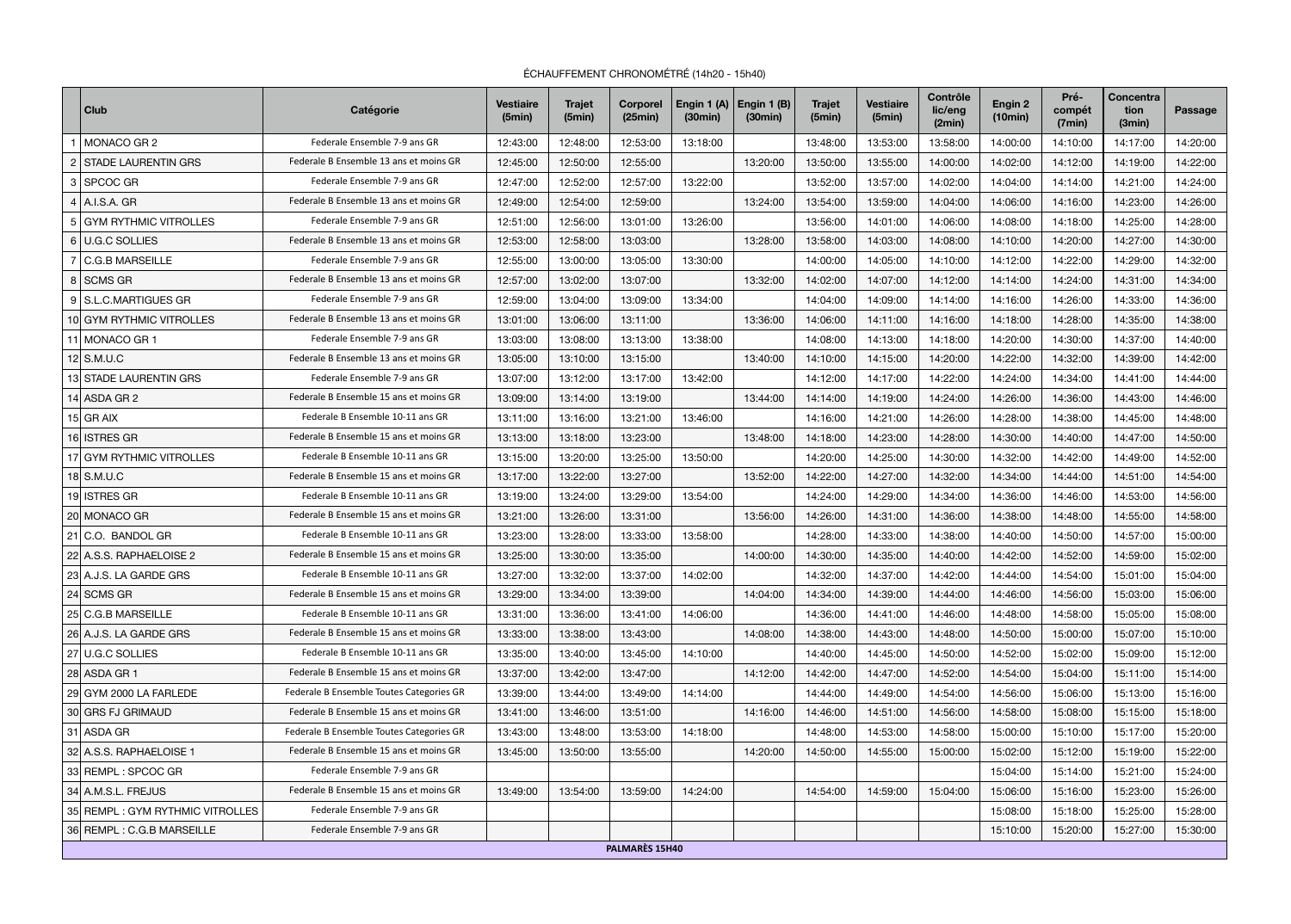ÉCHAUFFEMENT CHRONOMÉTRÉ (14h20 - 15h40)

|   | <b>Club</b>                     | <b>Catégorie</b>                         | <b>Vestiaire</b><br>(5min) | <b>Trajet</b><br>(5min) | <b>Corporel</b><br>(25min) | Engin 1 (A) $ $ Engin 1 (B)<br>(30min) | (30min)  | <b>Trajet</b><br>(5min) | <b>Vestiaire</b><br>(5min) | <b>Contrôle</b><br>lic/eng<br>(2min) | Engin 2<br>(10min) | Pré-<br>compét<br>(7min) | <b>Concentra</b><br>tion<br>(3min) | <b>Passage</b> |
|---|---------------------------------|------------------------------------------|----------------------------|-------------------------|----------------------------|----------------------------------------|----------|-------------------------|----------------------------|--------------------------------------|--------------------|--------------------------|------------------------------------|----------------|
|   | <b>MONACO GR2</b>               | Federale Ensemble 7-9 ans GR             | 12:43:00                   | 12:48:00                | 12:53:00                   | 13:18:00                               |          | 13:48:00                | 13:53:00                   | 13:58:00                             | 14:00:00           | 14:10:00                 | 14:17:00                           | 14:20:00       |
|   | <b>STADE LAURENTIN GRS</b>      | Federale B Ensemble 13 ans et moins GR   | 12:45:00                   | 12:50:00                | 12:55:00                   |                                        | 13:20:00 | 13:50:00                | 13:55:00                   | 14:00:00                             | 14:02:00           | 14:12:00                 | 14:19:00                           | 14:22:00       |
| 3 | SPCOC GR                        | Federale Ensemble 7-9 ans GR             | 12:47:00                   | 12:52:00                | 12:57:00                   | 13:22:00                               |          | 13:52:00                | 13:57:00                   | 14:02:00                             | 14:04:00           | 14:14:00                 | 14:21:00                           | 14:24:00       |
|   | $4$   A.I.S.A. GR               | Federale B Ensemble 13 ans et moins GR   | 12:49:00                   | 12:54:00                | 12:59:00                   |                                        | 13:24:00 | 13:54:00                | 13:59:00                   | 14:04:00                             | 14:06:00           | 14:16:00                 | 14:23:00                           | 14:26:00       |
|   | GYM RYTHMIC VITROLLES           | Federale Ensemble 7-9 ans GR             | 12:51:00                   | 12:56:00                | 13:01:00                   | 13:26:00                               |          | 13:56:00                | 14:01:00                   | 14:06:00                             | 14:08:00           | 14:18:00                 | 14:25:00                           | 14:28:00       |
|   | 6 U.G.C SOLLIES                 | Federale B Ensemble 13 ans et moins GR   | 12:53:00                   | 12:58:00                | 13:03:00                   |                                        | 13:28:00 | 13:58:00                | 14:03:00                   | 14:08:00                             | 14:10:00           | 14:20:00                 | 14:27:00                           | 14:30:00       |
|   | <b>C.G.B MARSEILLE</b>          | Federale Ensemble 7-9 ans GR             | 12:55:00                   | 13:00:00                | 13:05:00                   | 13:30:00                               |          | 14:00:00                | 14:05:00                   | 14:10:00                             | 14:12:00           | 14:22:00                 | 14:29:00                           | 14:32:00       |
|   | 8   SCMS GR                     | Federale B Ensemble 13 ans et moins GR   | 12:57:00                   | 13:02:00                | 13:07:00                   |                                        | 13:32:00 | 14:02:00                | 14:07:00                   | 14:12:00                             | 14:14:00           | 14:24:00                 | 14:31:00                           | 14:34:00       |
|   | 9 S.L.C.MARTIGUES GR            | Federale Ensemble 7-9 ans GR             | 12:59:00                   | 13:04:00                | 13:09:00                   | 13:34:00                               |          | 14:04:00                | 14:09:00                   | 14:14:00                             | 14:16:00           | 14:26:00                 | 14:33:00                           | 14:36:00       |
|   | 10 GYM RYTHMIC VITROLLES        | Federale B Ensemble 13 ans et moins GR   | 13:01:00                   | 13:06:00                | 13:11:00                   |                                        | 13:36:00 | 14:06:00                | 14:11:00                   | 14:16:00                             | 14:18:00           | 14:28:00                 | 14:35:00                           | 14:38:00       |
|   | 11 MONACO GR 1                  | Federale Ensemble 7-9 ans GR             | 13:03:00                   | 13:08:00                | 13:13:00                   | 13:38:00                               |          | 14:08:00                | 14:13:00                   | 14:18:00                             | 14:20:00           | 14:30:00                 | 14:37:00                           | 14:40:00       |
|   | $12$ S.M.U.C                    | Federale B Ensemble 13 ans et moins GR   | 13:05:00                   | 13:10:00                | 13:15:00                   |                                        | 13:40:00 | 14:10:00                | 14:15:00                   | 14:20:00                             | 14:22:00           | 14:32:00                 | 14:39:00                           | 14:42:00       |
|   | <b>13 STADE LAURENTIN GRS</b>   | Federale Ensemble 7-9 ans GR             | 13:07:00                   | 13:12:00                | 13:17:00                   | 13:42:00                               |          | 14:12:00                | 14:17:00                   | 14:22:00                             | 14:24:00           | 14:34:00                 | 14:41:00                           | 14:44:00       |
|   | 14 ASDA GR 2                    | Federale B Ensemble 15 ans et moins GR   | 13:09:00                   | 13:14:00                | 13:19:00                   |                                        | 13:44:00 | 14:14:00                | 14:19:00                   | 14:24:00                             | 14:26:00           | 14:36:00                 | 14:43:00                           | 14:46:00       |
|   | $15$ GR AIX                     | Federale B Ensemble 10-11 ans GR         | 13:11:00                   | 13:16:00                | 13:21:00                   | 13:46:00                               |          | 14:16:00                | 14:21:00                   | 14:26:00                             | 14:28:00           | 14:38:00                 | 14:45:00                           | 14:48:00       |
|   | 16 ISTRES GR                    | Federale B Ensemble 15 ans et moins GR   | 13:13:00                   | 13:18:00                | 13:23:00                   |                                        | 13:48:00 | 14:18:00                | 14:23:00                   | 14:28:00                             | 14:30:00           | 14:40:00                 | 14:47:00                           | 14:50:00       |
|   | 17 GYM RYTHMIC VITROLLES        | Federale B Ensemble 10-11 ans GR         | 13:15:00                   | 13:20:00                | 13:25:00                   | 13:50:00                               |          | 14:20:00                | 14:25:00                   | 14:30:00                             | 14:32:00           | 14:42:00                 | 14:49:00                           | 14:52:00       |
|   | 18 $\vert$ S.M.U.C              | Federale B Ensemble 15 ans et moins GR   | 13:17:00                   | 13:22:00                | 13:27:00                   |                                        | 13:52:00 | 14:22:00                | 14:27:00                   | 14:32:00                             | 14:34:00           | 14:44:00                 | 14:51:00                           | 14:54:00       |
|   | 19 ISTRES GR                    | Federale B Ensemble 10-11 ans GR         | 13:19:00                   | 13:24:00                | 13:29:00                   | 13:54:00                               |          | 14:24:00                | 14:29:00                   | 14:34:00                             | 14:36:00           | 14:46:00                 | 14:53:00                           | 14:56:00       |
|   | 20 MONACO GR                    | Federale B Ensemble 15 ans et moins GR   | 13:21:00                   | 13:26:00                | 13:31:00                   |                                        | 13:56:00 | 14:26:00                | 14:31:00                   | 14:36:00                             | 14:38:00           | 14:48:00                 | 14:55:00                           | 14:58:00       |
|   | $21$ C.O. BANDOL GR             | Federale B Ensemble 10-11 ans GR         | 13:23:00                   | 13:28:00                | 13:33:00                   | 13:58:00                               |          | 14:28:00                | 14:33:00                   | 14:38:00                             | 14:40:00           | 14:50:00                 | 14:57:00                           | 15:00:00       |
|   | 22 A.S.S. RAPHAELOISE 2         | Federale B Ensemble 15 ans et moins GR   | 13:25:00                   | 13:30:00                | 13:35:00                   |                                        | 14:00:00 | 14:30:00                | 14:35:00                   | 14:40:00                             | 14:42:00           | 14:52:00                 | 14:59:00                           | 15:02:00       |
|   | 23 A.J.S. LA GARDE GRS          | Federale B Ensemble 10-11 ans GR         | 13:27:00                   | 13:32:00                | 13:37:00                   | 14:02:00                               |          | 14:32:00                | 14:37:00                   | 14:42:00                             | 14:44:00           | 14:54:00                 | 15:01:00                           | 15:04:00       |
|   | $24$ SCMS GR                    | Federale B Ensemble 15 ans et moins GR   | 13:29:00                   | 13:34:00                | 13:39:00                   |                                        | 14:04:00 | 14:34:00                | 14:39:00                   | 14:44:00                             | 14:46:00           | 14:56:00                 | 15:03:00                           | 15:06:00       |
|   | 25 C.G.B MARSEILLE              | Federale B Ensemble 10-11 ans GR         | 13:31:00                   | 13:36:00                | 13:41:00                   | 14:06:00                               |          | 14:36:00                | 14:41:00                   | 14:46:00                             | 14:48:00           | 14:58:00                 | 15:05:00                           | 15:08:00       |
|   | 26 A.J.S. LA GARDE GRS          | Federale B Ensemble 15 ans et moins GR   | 13:33:00                   | 13:38:00                | 13:43:00                   |                                        | 14:08:00 | 14:38:00                | 14:43:00                   | 14:48:00                             | 14:50:00           | 15:00:00                 | 15:07:00                           | 15:10:00       |
|   | 27 U.G.C SOLLIES                | Federale B Ensemble 10-11 ans GR         | 13:35:00                   | 13:40:00                | 13:45:00                   | 14:10:00                               |          | 14:40:00                | 14:45:00                   | 14:50:00                             | 14:52:00           | 15:02:00                 | 15:09:00                           | 15:12:00       |
|   | 28 ASDA GR 1                    | Federale B Ensemble 15 ans et moins GR   | 13:37:00                   | 13:42:00                | 13:47:00                   |                                        | 14:12:00 | 14:42:00                | 14:47:00                   | 14:52:00                             | 14:54:00           | 15:04:00                 | 15:11:00                           | 15:14:00       |
|   | 29 GYM 2000 LA FARLEDE          | Federale B Ensemble Toutes Categories GR | 13:39:00                   | 13:44:00                | 13:49:00                   | 14:14:00                               |          | 14:44:00                | 14:49:00                   | 14:54:00                             | 14:56:00           | 15:06:00                 | 15:13:00                           | 15:16:00       |
|   | 30 GRS FJ GRIMAUD               | Federale B Ensemble 15 ans et moins GR   | 13:41:00                   | 13:46:00                | 13:51:00                   |                                        | 14:16:00 | 14:46:00                | 14:51:00                   | 14:56:00                             | 14:58:00           | 15:08:00                 | 15:15:00                           | 15:18:00       |
|   | 31 ASDA GR                      | Federale B Ensemble Toutes Categories GR | 13:43:00                   | 13:48:00                | 13:53:00                   | 14:18:00                               |          | 14:48:00                | 14:53:00                   | 14:58:00                             | 15:00:00           | 15:10:00                 | 15:17:00                           | 15:20:00       |
|   | 32 A.S.S. RAPHAELOISE 1         | Federale B Ensemble 15 ans et moins GR   | 13:45:00                   | 13:50:00                | 13:55:00                   |                                        | 14:20:00 | 14:50:00                | 14:55:00                   | 15:00:00                             | 15:02:00           | 15:12:00                 | 15:19:00                           | 15:22:00       |
|   | 33 REMPL: SPCOC GR              | Federale Ensemble 7-9 ans GR             |                            |                         |                            |                                        |          |                         |                            |                                      | 15:04:00           | 15:14:00                 | 15:21:00                           | 15:24:00       |
|   | 34 A.M.S.L. FREJUS              | Federale B Ensemble 15 ans et moins GR   | 13:49:00                   | 13:54:00                | 13:59:00                   | 14:24:00                               |          | 14:54:00                | 14:59:00                   | 15:04:00                             | 15:06:00           | 15:16:00                 | 15:23:00                           | 15:26:00       |
|   | 35 REMPL: GYM RYTHMIC VITROLLES | Federale Ensemble 7-9 ans GR             |                            |                         |                            |                                        |          |                         |                            |                                      | 15:08:00           | 15:18:00                 | 15:25:00                           | 15:28:00       |
|   | 36 REMPL: C.G.B MARSEILLE       | Federale Ensemble 7-9 ans GR             |                            |                         |                            |                                        |          |                         |                            |                                      | 15:10:00           | 15:20:00                 | 15:27:00                           | 15:30:00       |
|   |                                 |                                          |                            |                         | PALMARÈS 15H40             |                                        |          |                         |                            |                                      |                    |                          |                                    |                |